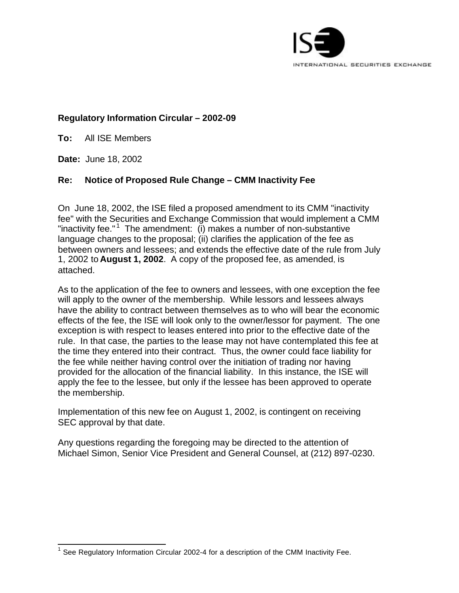

## **Regulatory Information Circular – 2002-09**

**To:** All ISE Members

**Date:** June 18, 2002

l

# **Re: Notice of Proposed Rule Change – CMM Inactivity Fee**

On June 18, 2002, the ISE filed a proposed amendment to its CMM "inactivity fee" with the Securities and Exchange Commission that would implement a CMM "inactivity fee."<sup>1</sup> The amendment: (i) makes a number of non-substantive language changes to the proposal; (ii) clarifies the application of the fee as between owners and lessees; and extends the effective date of the rule from July 1, 2002 to **August 1, 2002**. A copy of the proposed fee, as amended, is attached.

As to the application of the fee to owners and lessees, with one exception the fee will apply to the owner of the membership. While lessors and lessees always have the ability to contract between themselves as to who will bear the economic effects of the fee, the ISE will look only to the owner/lessor for payment. The one exception is with respect to leases entered into prior to the effective date of the rule. In that case, the parties to the lease may not have contemplated this fee at the time they entered into their contract. Thus, the owner could face liability for the fee while neither having control over the initiation of trading nor having provided for the allocation of the financial liability. In this instance, the ISE will apply the fee to the lessee, but only if the lessee has been approved to operate the membership.

Implementation of this new fee on August 1, 2002, is contingent on receiving SEC approval by that date.

Any questions regarding the foregoing may be directed to the attention of Michael Simon, Senior Vice President and General Counsel, at (212) 897-0230.

<sup>1</sup> See Regulatory Information Circular 2002-4 for a description of the CMM Inactivity Fee.